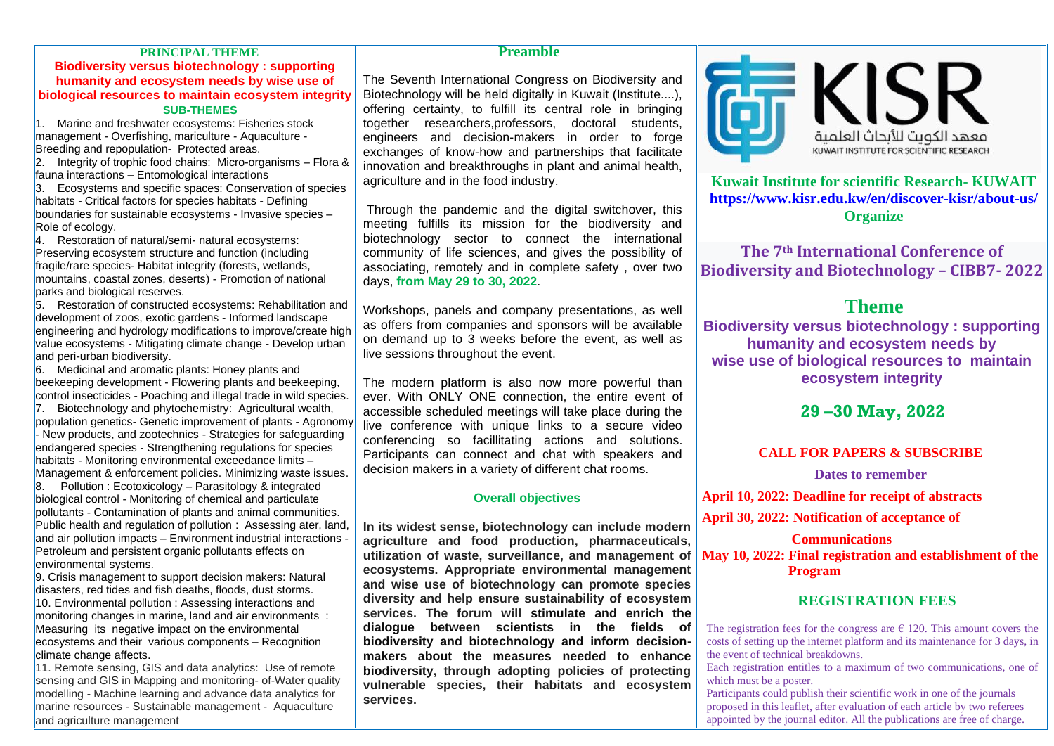### **PRINCIPAL THEME**

### **Biodiversity versus biotechnology : supporting humanity and ecosystem needs by wise use of biological resources to maintain ecosystem integrity SUB-THEMES**

1. Marine and freshwater ecosystems: Fisheries stock management - Overfishing, mariculture - Aquaculture - Breeding and repopulation- Protected areas.

2. Integrity of trophic food chains: Micro-organisms – Flora & fauna interactions – Entomological interactions

3. Ecosystems and specific spaces: Conservation of species habitats - Critical factors for species habitats - Defining boundaries for sustainable ecosystems - Invasive species – Role of ecology.

4. Restoration of natural/semi- natural ecosystems: Preserving ecosystem structure and function (including fragile/rare species- Habitat integrity (forests, wetlands, mountains, coastal zones, deserts) - Promotion of national parks and biological reserves.

5. Restoration of constructed ecosystems: Rehabilitation and development of zoos, exotic gardens - Informed landscape engineering and hydrology modifications to improve/create high value ecosystems - Mitigating climate change - Develop urban and peri-urban biodiversity.

6. Medicinal and aromatic plants: Honey plants and beekeeping development - Flowering plants and beekeeping, control insecticides - Poaching and illegal trade in wild species.

7. Biotechnology and phytochemistry: Agricultural wealth, population genetics- Genetic improvement of plants - Agronomy - New products, and zootechnics - Strategies for safeguarding endangered species - Strengthening regulations for species habitats - Monitoring environmental exceedance limits – Management & enforcement policies. Minimizing waste issues.

 $\overline{8}$ . Pollution : Ecotoxicology – Parasitology & integrated biological control - Monitoring of chemical and particulate pollutants - Contamination of plants and animal communities. Public health and regulation of pollution : Assessing ater, land, and air pollution impacts - Environment industrial interactions -Petroleum and persistent organic pollutants effects on environmental systems.

9. Crisis management to support decision makers: Natural disasters, red tides and fish deaths, floods, dust storms. 10. Environmental pollution : Assessing interactions and monitoring changes in marine, land and air environments : Measuring its negative impact on the environmental ecosystems and their various components – Recognition climate change affects.

11. Remote sensing, GIS and data analytics: Use of remote sensing and GIS in Mapping and monitoring- of-Water quality modelling - Machine learning and advance data analytics for marine resources - Sustainable management - Aquaculture and agriculture management

### **Preamble**

The Seventh International Congress on Biodiversity and Biotechnology will be held digitally in Kuwait (Institute....), offering certainty, to fulfill its central role in bringing together researchers,professors, doctoral students, engineers and decision-makers in order to forge exchanges of know-how and partnerships that facilitate innovation and breakthroughs in plant and animal health. agriculture and in the food industry.

Through the pandemic and the digital switchover, this meeting fulfills its mission for the biodiversity and biotechnology sector to connect the international community of life sciences, and gives the possibility of associating, remotely and in complete safety , over two days, **from May 29 to 30, 2022**.

Workshops, panels and company presentations, as well as offers from companies and sponsors will be available on demand up to 3 weeks before the event, as well as live sessions throughout the event.

The modern platform is also now more powerful than ever. With ONLY ONE connection, the entire event of accessible scheduled meetings will take place during the live conference with unique links to a secure video conferencing so facillitating actions and solutions. Participants can connect and chat with speakers and decision makers in a variety of different chat rooms.

### **Overall objectives**

**In its widest sense, biotechnology can include modern agriculture and food production, pharmaceuticals, utilization of waste, surveillance, and management of ecosystems. Appropriate environmental management and wise use of biotechnology can promote species diversity and help ensure sustainability of ecosystem services. The forum will stimulate and enrich the dialogue between scientists in the fields of biodiversity and biotechnology and inform decisionmakers about the measures needed to enhance biodiversity, through adopting policies of protecting vulnerable species, their habitats and ecosystem services.**



**Kuwait Institute for scientific Research- KUWAIT <https://www.kisr.edu.kw/en/discover-kisr/about-us/> Organize**

**The 7th International Conference of Biodiversity and Biotechnology – CIBB7- 2022**

## **Theme**

**Biodiversity versus biotechnology : supporting humanity and ecosystem needs by wise use of biological resources to maintain ecosystem integrity**

## **29 –30 May, 2022**

### **CALL FOR PAPERS & SUBSCRIBE**

**Dates to remember**

**April 10, 2022: Deadline for receipt of abstracts**

**April 30, 2022: Notification of acceptance of**

### **Communications**

**May 10, 2022: Final registration and establishment of the Program**

## **REGISTRATION FEES**

The registration fees for the congress are  $\epsilon$  120. This amount covers the costs of setting up the internet platform and its maintenance for 3 days, in the event of technical breakdowns.

Each registration entitles to a maximum of two communications, one of which must be a poster.

Participants could publish their scientific work in one of the journals proposed in this leaflet, after evaluation of each article by two referees appointed by the journal editor. All the publications are free of charge.